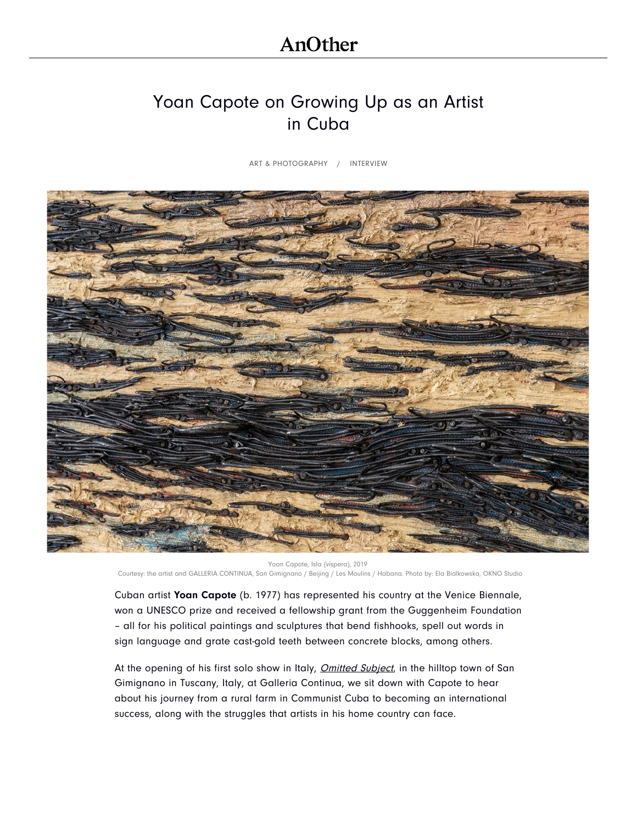# [Yoan Capote on Growing Up as an Artist](https://www.googleadservices.com/pagead/aclk?sa=L&ai=CuI-bf5moXdTrI5XuogbbipTIDZ-RlOxWw4yOv9UIm-CEzqILEAEgwduGTGDJxqmLwKTYD6ABy_Ki-wPIAQmpAl0EiEBLaqk-4AIAqAMByAMKqgS1Ak_Q5kyrjMR78sL5HULBQwjxaF1ND8BtumAwW2iHDM7UQ7FOAouZJRy30cjEwg7JNITieW3M0Y1G18_ErG3vxl-n-Y_YDrfLxbYAU7W7S9GTk2Hoh9KtS8qmEdlhT_uGb2JOkJU3nsb58_2aGtrL8QYEcc7-gR9rL1_FeIAXCDM5PbCDDZVPAu1yT0UpCkNerB6Sh2tRpc5bID7PMllpVtrO-1fKwAtn1I1xUEy2MoizX42gGo_L8mn807fdXZ_zeUDy8nBMvwAr_acBMUoKh1220uRfjEx18y7ga9I5QTgStxkDGhidBIn5clD1yWw5VFvLLG5pu0VWob5Wp9CWf_ViwYQyWF2aummUyo76qfsmyd7UiiviDkSW-aFpk5e5nuJDLyf74IiqW1HNyRWD6RGB1qrSOOAEAfoFBgglEAEYAJAGAaAGLoAHnY3dBIgHAZAHAqgHjs4bqAfB0xuoB4XUG6gHgdQbqAeC1BuoB4bUG6gHhNQbqAeT2BuoB-DTG6gHugaoB9nLG6gHz8wbqAemvhuoB_PRG6gH7NUb2AcAwAgB0ggGCAAQAhgNgAoDkAsD2BMCiBQD&ae=1&num=1&cid=CAMSeQClSFh3R1r9_zATwiPUBwFsaX7fPh2BT_K6iOuHOiclWOoyLXuwtPPo42A9vhpCUr2kcwBWQgyjDdSDrtR2VC8HoU0J8hif3nGCkmJJ78qu31ZLrxnzR7rKvVohuGa3Qz9e6RjBIFjE1ITA1jH9WJzuQVnJU5ItHLg&sig=AOD64_2UApaPs--fpCGEKnxFBPvacGaTOQ&client=ca-pub-6661296431735219&adurl=https://www.ssense.com/en-us/men/product/rhude/black-suede-v1-lo-sneakers/4327551%3Fgclid%3DCj0KCQjwoqDtBRD-ARIsAL4pviChmYUfTA9X3HgmIARi3pLmCWol_qmSIAindIbJwvCgJ46sZyNXnfwaArScEALw_wcB) in Cuba

[ART & PHOTOGRAPHY](https://www.anothermag.com/art-photography) / INTERVIEW



Yoan Capote, Isla (víspera), 2019 Courtesy: the artist and GALLERIA CONTINUA, San Gimignano / Beijing / Les Moulins / Habana. Photo by: Ela Bialkowska, OKNO Studio

Cuban artist Yoan Capote (b. 1977) has represented his country at the Venice Biennale, won a UNESCO prize and received a fellowship grant from the Guggenheim Foundation – all for his political paintings and sculptures that bend fishhooks, spell out words in sign language and grate cast-gold teeth between concrete blocks, among others.

At the opening of his first solo show in Italy, Omitted Subject, in the hilltop town of San Gimignano in Tuscany, Italy, at Galleria Continua, we sit down with Capote to hear about his journey from a rural farm in Communist Cuba to becoming an international success, along with the struggles that artists in his home country can face.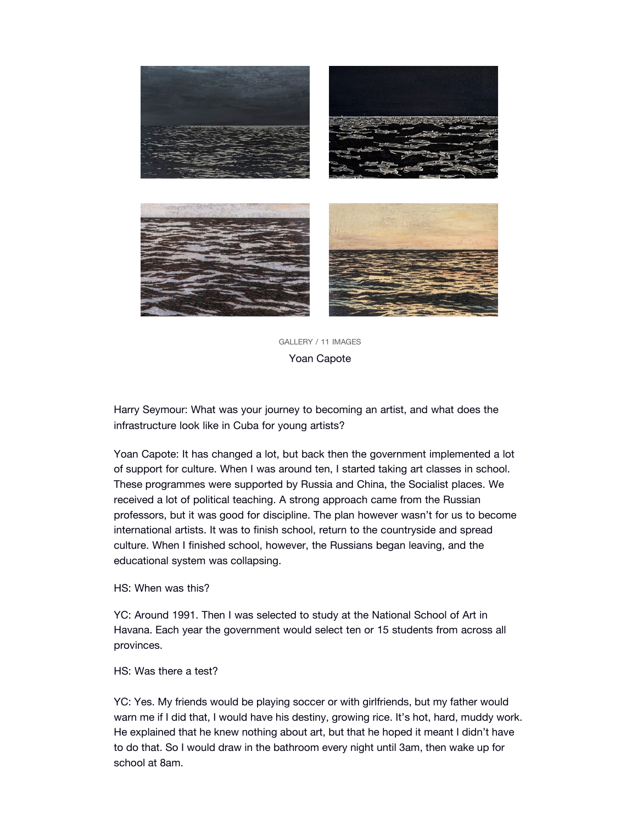

[GALLERY](https://www.anothermag.com/art-photography/gallery/10733/yoan-capote/2) / 11 IMAGES Yoan C[apote](https://www.anothermag.com/art-photography/gallery/10733/yoan-capote/3)

Harry Seymour: Wh[at was your journey to becoming an artist, and](https://www.anothermag.com/art-photography/gallery/10733/yoan-capote/0) what does the infrastructure look like in Cuba for young artists?

Yoan Capote: It has changed a lot, but back then the government implemented a lot of support for culture. When I was around ten, I started taking art classes in school. These programmes were supported by Russia and China, the Socialist places. We received a lot of political teaching. A strong approach came from the Russian professors, but it was good for discipline. The plan however wasn't for us to become international artists. It was to finish school, return to the countryside and spread culture. When I finished school, however, the Russians began leaving, and the educational system was collapsing.

#### HS: When was this?

YC: Around 1991. Then I was selected to study at the National School of Art in Havana. Each year the government would select ten or 15 students from across all provinces.

# HS: Was there a test?

YC: Yes. My friends would be playing soccer or with girlfriends, but my father would warn me if I did that, I would have his destiny, growing rice. It's hot, hard, muddy work. He explained that he knew nothing about art, but that he hoped it meant I didn't have to do that. So I would draw in the bathroom every night until 3am, then wake up for school at 8am.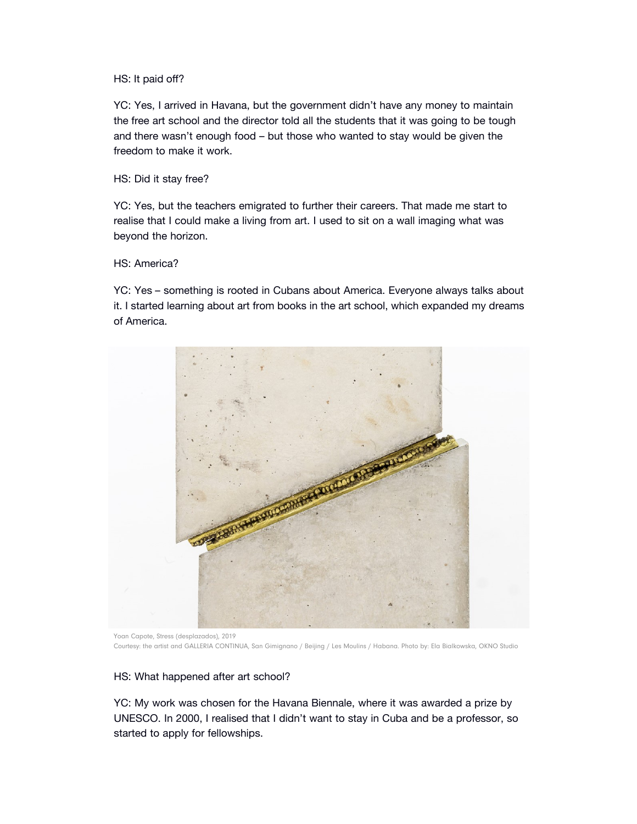## HS: It paid off?

YC: Yes, I arrived in Havana, but the government didn't have any money to maintain the free art school and the director told all the students that it was going to be tough and there wasn't enough food – but those who wanted to stay would be given the freedom to make it work.

### HS: Did it stay free?

YC: Yes, but the teachers emigrated to further their careers. That made me start to realise that I could make a living from art. I used to sit on a wall imaging what was beyond the horizon.

# HS: America?

YC: Yes – something is rooted in Cubans about America. Everyone always talks about it. I started learning about art from books in the art school, which expanded my dreams of America.



Yoan Capote, Stress (desplazados), 2019 Courtesy: the artist and GALLERIA CONTINUA, San Gimignano / Beijing / Les Moulins / Habana. Photo by: Ela Bialkowska, OKNO Studio

#### HS: What happened after art school?

YC: My work was chosen for the Havana Biennale, where it was awarded a prize by UNESCO. In 2000, I realised that I didn't want to stay in Cuba and be a professor, so started to apply for fellowships.